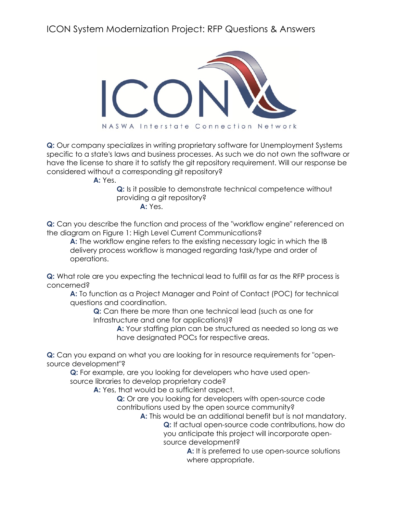ICON System Modernization Project: RFP Questions & Answers



**Q:** Our company specializes in writing proprietary software for Unemployment Systems specific to a state's laws and business processes. As such we do not own the software or have the license to share it to satisfy the git repository requirement. Will our response be considered without a corresponding git repository?

**A:** Yes.

**Q:** Is it possible to demonstrate technical competence without providing a git repository? **A:** Yes.

**Q:** Can you describe the function and process of the "workflow engine" referenced on the diagram on Figure 1: High Level Current Communications?

**A:** The workflow engine refers to the existing necessary logic in which the IB delivery process workflow is managed regarding task/type and order of operations.

**Q:** What role are you expecting the technical lead to fulfill as far as the RFP process is concerned?

**A:** To function as a Project Manager and Point of Contact (POC) for technical questions and coordination.

**Q:** Can there be more than one technical lead (such as one for Infrastructure and one for applications)?

> **A:** Your staffing plan can be structured as needed so long as we have designated POCs for respective areas.

**Q:** Can you expand on what you are looking for in resource requirements for "opensource development"?

**Q:** For example, are you looking for developers who have used opensource libraries to develop proprietary code?

**A:** Yes, that would be a sufficient aspect.

**Q:** Or are you looking for developers with open-source code contributions used by the open source community?

> **A:** This would be an additional benefit but is not mandatory. **Q:** If actual open-source code contributions, how do you anticipate this project will incorporate opensource development?

> > A: It is preferred to use open-source solutions where appropriate.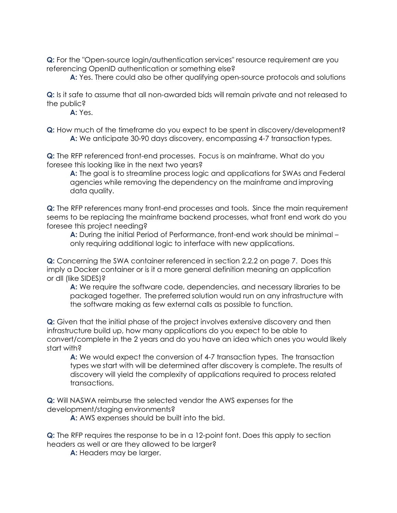**Q:** For the "Open-source login/authentication services" resource requirement are you referencing OpenID authentication or something else?

**A:** Yes. There could also be other qualifying open-source protocols and solutions

**Q:** Is it safe to assume that all non-awarded bids will remain private and not released to the public?

**A:** Yes.

**Q:** How much of the timeframe do you expect to be spent in discovery/development? **A:** We anticipate 30-90 days discovery, encompassing 4-7 transaction types.

**Q:** The RFP referenced front-end processes. Focus is on mainframe. What do you foresee this looking like in the next two years?

**A:** The goal is to streamline process logic and applications for SWAs and Federal agencies while removing the dependency on the mainframe and improving data quality.

**Q:** The RFP references many front-end processes and tools. Since the main requirement seems to be replacing the mainframe backend processes, what front end work do you foresee this project needing?

**A:** During the initial Period of Performance, front-end work should be minimal – only requiring additional logic to interface with new applications.

**Q:** Concerning the SWA container referenced in section 2.2.2 on page 7. Does this imply a Docker container or is it a more general definition meaning an application or dll (like SIDES)?

**A:** We require the software code, dependencies, and necessary libraries to be packaged together. The preferred solution would run on any infrastructure with the software making as few external calls as possible to function.

**Q:** Given that the initial phase of the project involves extensive discovery and then infrastructure build up, how many applications do you expect to be able to convert/complete in the 2 years and do you have an idea which ones you would likely start with?

**A:** We would expect the conversion of 4-7 transaction types. The transaction types we start with will be determined after discovery is complete. The results of discovery will yield the complexity of applications required to process related transactions.

**Q:** Will NASWA reimburse the selected vendor the AWS expenses for the development/staging environments?

**A:** AWS expenses should be built into the bid.

**Q:** The RFP requires the response to be in a 12-point font. Does this apply to section headers as well or are they allowed to be larger?

**A:** Headers may be larger.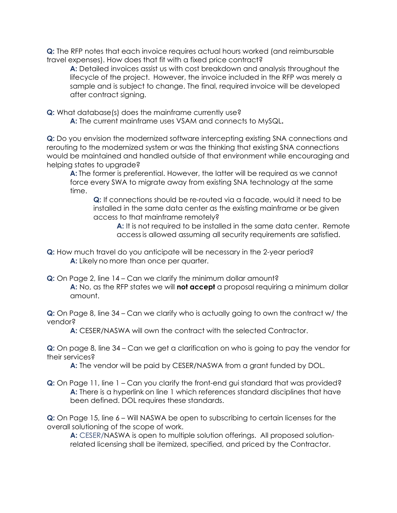**Q:** The RFP notes that each invoice requires actual hours worked (and reimbursable travel expenses). How does that fit with a fixed price contract?

**A:** Detailed invoices assist us with cost breakdown and analysis throughout the lifecycle of the project. However, the invoice included in the RFP was merely a sample and is subject to change. The final, required invoice will be developed after contract signing.

**Q:** What database(s) does the mainframe currently use?

**A:** The current mainframe uses VSAM and connects to MySQL**.**

**Q:** Do you envision the modernized software intercepting existing SNA connections and rerouting to the modernized system or was the thinking that existing SNA connections would be maintained and handled outside of that environment while encouraging and helping states to upgrade?

**A:** The former is preferential. However, the latter will be required as we cannot force every SWA to migrate away from existing SNA technology at the same time.

**Q:** If connections should be re-routed via a facade, would it need to be installed in the same data center as the existing mainframe or be given access to that mainframe remotely?

**A:** It is not required to be installed in the same data center. Remote access is allowed assuming all security requirements are satisfied.

- **Q:** How much travel do you anticipate will be necessary in the 2-year period? **A:** Likely no more than once per quarter.
- **Q:** On Page 2, line 14 Can we clarify the minimum dollar amount? **A:** No, as the RFP states we will **not accept** a proposal requiring a minimum dollar amount.

**Q:** On Page 8, line 34 – Can we clarify who is actually going to own the contract w/ the vendor?

**A:** CESER/NASWA will own the contract with the selected Contractor.

**Q:** On page 8, line 34 – Can we get a clarification on who is going to pay the vendor for their services?

**A:** The vendor will be paid by CESER/NASWA from a grant funded by DOL.

**Q:** On Page 11, line 1 – Can you clarify the front-end gui standard that was provided? **A:** There is a hyperlink on line 1 which references standard disciplines that have been defined. DOL requires these standards.

**Q:** On Page 15, line 6 – Will NASWA be open to subscribing to certain licenses for the overall solutioning of the scope of work.

**A:** CESER/NASWA is open to multiple solution offerings. All proposed solutionrelated licensing shall be itemized, specified, and priced by the Contractor.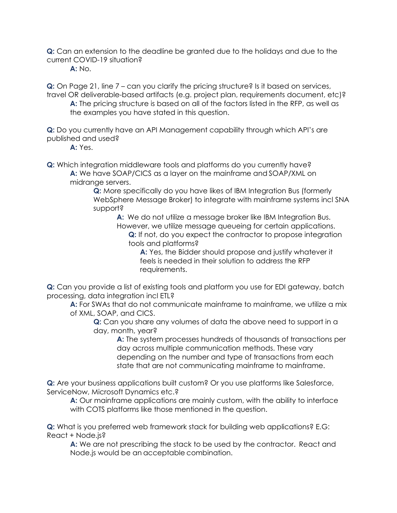**Q:** Can an extension to the deadline be granted due to the holidays and due to the current COVID-19 situation?

**A:** No.

**Q:** On Page 21, line 7 – can you clarify the pricing structure? Is it based on services, travel OR deliverable-based artifacts (e.g. project plan, requirements document, etc)? **A:** The pricing structure is based on all of the factors listed in the RFP, as well as

the examples you have stated in this question.

**Q:** Do you currently have an API Management capability through which API's are published and used?

**A:** Yes.

**Q:** Which integration middleware tools and platforms do you currently have? **A:** We have SOAP/CICS as a layer on the mainframe and SOAP/XML on midrange servers.

**Q:** More specifically do you have likes of IBM Integration Bus (formerly WebSphere Message Broker) to integrate with mainframe systems incl SNA support?

**A:** We do not utilize a message broker like IBM Integration Bus. However, we utilize message queueing for certain applications. **Q:** If not, do you expect the contractor to propose integration tools and platforms?

**A:** Yes, the Bidder should propose and justify whatever it feels is needed in their solution to address the RFP requirements.

**Q:** Can you provide a list of existing tools and platform you use for EDI gateway, batch processing, data integration incl ETL?

**A:** For SWAs that do not communicate mainframe to mainframe, we utilize a mix of XML, SOAP, and CICS.

**Q:** Can you share any volumes of data the above need to support in a day, month, year?

**A:** The system processes hundreds of thousands of transactions per day across multiple communication methods. These vary depending on the number and type of transactions from each state that are not communicating mainframe to mainframe.

**Q:** Are your business applications built custom? Or you use platforms like Salesforce, ServiceNow, Microsoft Dynamics etc.?

**A:** Our mainframe applications are mainly custom, with the ability to interface with COTS platforms like those mentioned in the question.

**Q:** What is you preferred web framework stack for building web applications? E.G: React + Node.js?

**A:** We are not prescribing the stack to be used by the contractor. React and Node.js would be an acceptable combination.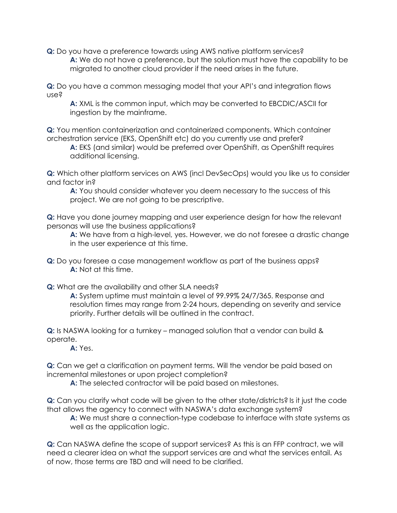**Q:** Do you have a preference towards using AWS native platform services? **A:** We do not have a preference, but the solution must have the capability to be migrated to another cloud provider if the need arises in the future.

**Q:** Do you have a common messaging model that your API's and integration flows use?

**A:** XML is the common input, which may be converted to EBCDIC/ASCII for ingestion by the mainframe.

**Q:** You mention containerization and containerized components. Which container orchestration service (EKS, OpenShift etc) do you currently use and prefer?

**A:** EKS (and similar) would be preferred over OpenShift, as OpenShift requires additional licensing.

**Q:** Which other platform services on AWS (incl DevSecOps) would you like us to consider and factor in?

**A:** You should consider whatever you deem necessary to the success of this project. We are not going to be prescriptive.

**Q:** Have you done journey mapping and user experience design for how the relevant personas will use the business applications?

**A:** We have from a high-level, yes. However, we do not foresee a drastic change in the user experience at this time.

**Q:** Do you foresee a case management workflow as part of the business apps? **A:** Not at this time.

**Q:** What are the availability and other SLA needs?

**A:** System uptime must maintain a level of 99.99% 24/7/365. Response and resolution times may range from 2-24 hours, depending on severity and service priority. Further details will be outlined in the contract.

**Q:** Is NASWA looking for a turnkey – managed solution that a vendor can build & operate.

**A:** Yes.

**Q:** Can we get a clarification on payment terms. Will the vendor be paid based on incremental milestones or upon project completion?

**A:** The selected contractor will be paid based on milestones.

**Q:** Can you clarify what code will be given to the other state/districts? Is it just the code that allows the agency to connect with NASWA's data exchange system?

**A:** We must share a connection-type codebase to interface with state systems as well as the application logic.

**Q:** Can NASWA define the scope of support services? As this is an FFP contract, we will need a clearer idea on what the support services are and what the services entail. As of now, those terms are TBD and will need to be clarified.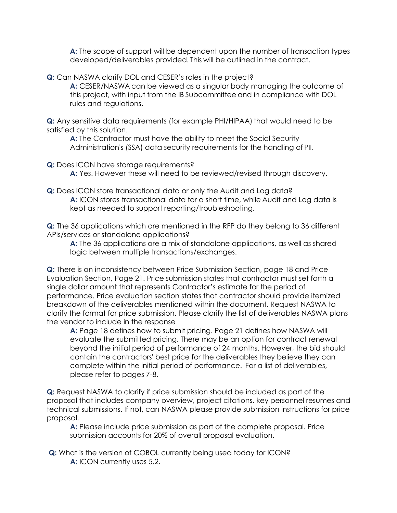**A:** The scope of support will be dependent upon the number of transaction types developed/deliverables provided. This will be outlined in the contract.

**Q:** Can NASWA clarify DOL and CESER's roles in the project?

**A:** CESER/NASWA can be viewed as a singular body managing the outcome of this project, with input from the IB Subcommittee and in compliance with DOL rules and regulations.

**Q:** Any sensitive data requirements (for example PHI/HIPAA) that would need to be satisfied by this solution.

**A:** The Contractor must have the ability to meet the Social Security Administration's (SSA) data security requirements for the handling of PII.

**Q:** Does ICON have storage requirements?

**A:** Yes. However these will need to be reviewed/revised through discovery.

**Q:** Does ICON store transactional data or only the Audit and Log data? **A:** ICON stores transactional data for a short time, while Audit and Log data is kept as needed to support reporting/troubleshooting.

**Q:** The 36 applications which are mentioned in the RFP do they belong to 36 different APIs/services or standalone applications?

**A:** The 36 applications are a mix of standalone applications, as well as shared logic between multiple transactions/exchanges.

**Q:** There is an inconsistency between Price Submission Section, page 18 and Price Evaluation Section, Page 21. Price submission states that contractor must set forth a single dollar amount that represents Contractor's estimate for the period of performance. Price evaluation section states that contractor should provide itemized breakdown of the deliverables mentioned within the document. Request NASWA to clarify the format for price submission. Please clarify the list of deliverables NASWA plans the vendor to include in the response

**A:** Page 18 defines how to submit pricing. Page 21 defines how NASWA will evaluate the submitted pricing. There may be an option for contract renewal beyond the initial period of performance of 24 months. However, the bid should contain the contractors' best price for the deliverables they believe they can complete within the initial period of performance. For a list of deliverables, please refer to pages 7-8.

**Q:** Request NASWA to clarify if price submission should be included as part of the proposal that includes company overview, project citations, key personnel resumes and technical submissions. If not, can NASWA please provide submission instructions for price proposal.

**A:** Please include price submission as part of the complete proposal. Price submission accounts for 20% of overall proposal evaluation.

**Q:** What is the version of COBOL currently being used today for ICON? **A:** ICON currently uses 5.2.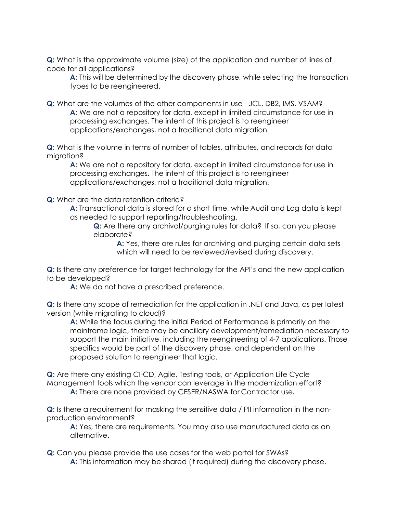**Q:** What is the approximate volume (size) of the application and number of lines of code for all applications?

**A:** This will be determined by the discovery phase, while selecting the transaction types to be reengineered.

**Q:** What are the volumes of the other components in use - JCL, DB2, IMS, VSAM? **A:** We are not a repository for data, except in limited circumstance for use in processing exchanges. The intent of this project is to reengineer applications/exchanges, not a traditional data migration.

**Q:** What is the volume in terms of number of tables, attributes, and records for data migration?

**A:** We are not a repository for data, except in limited circumstance for use in processing exchanges. The intent of this project is to reengineer applications/exchanges, not a traditional data migration.

**Q:** What are the data retention criteria?

**A:** Transactional data is stored for a short time, while Audit and Log data is kept as needed to support reporting/troubleshooting.

**Q:** Are there any archival/purging rules for data? If so, can you please elaborate?

**A:** Yes, there are rules for archiving and purging certain data sets which will need to be reviewed/revised during discovery.

**Q:** Is there any preference for target technology for the API's and the new application to be developed?

**A:** We do not have a prescribed preference.

**Q:** Is there any scope of remediation for the application in .NET and Java, as per latest version (while migrating to cloud)?

**A:** While the focus during the initial Period of Performance is primarily on the mainframe logic, there may be ancillary development/remediation necessary to support the main initiative, including the reengineering of 4-7 applications. Those specifics would be part of the discovery phase, and dependent on the proposed solution to reengineer that logic.

**Q:** Are there any existing CI-CD, Agile, Testing tools, or Application Life Cycle Management tools which the vendor can leverage in the modernization effort? **A:** There are none provided by CESER/NASWA for Contractor use**.**

**Q:** Is there a requirement for masking the sensitive data / PII information in the nonproduction environment?

**A:** Yes, there are requirements. You may also use manufactured data as an alternative.

**Q:** Can you please provide the use cases for the web portal for SWAs? **A:** This information may be shared (if required) during the discovery phase.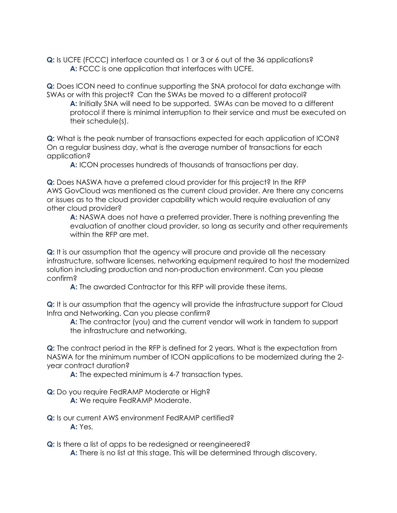**Q:** Is UCFE (FCCC) interface counted as 1 or 3 or 6 out of the 36 applications? **A:** FCCC is one application that interfaces with UCFE.

**Q:** Does ICON need to continue supporting the SNA protocol for data exchange with SWAs or with this project? Can the SWAs be moved to a different protocol?

**A:** Initially SNA will need to be supported. SWAs can be moved to a different protocol if there is minimal interruption to their service and must be executed on their schedule(s).

**Q:** What is the peak number of transactions expected for each application of ICON? On a regular business day, what is the average number of transactions for each application?

**A:** ICON processes hundreds of thousands of transactions per day.

**Q:** Does NASWA have a preferred cloud provider for this project? In the RFP AWS GovCloud was mentioned as the current cloud provider. Are there any concerns or issues as to the cloud provider capability which would require evaluation of any other cloud provider?

**A:** NASWA does not have a preferred provider. There is nothing preventing the evaluation of another cloud provider, so long as security and other requirements within the RFP are met.

**Q:** It is our assumption that the agency will procure and provide all the necessary infrastructure, software licenses, networking equipment required to host the modernized solution including production and non-production environment. Can you please confirm?

**A:** The awarded Contractor for this RFP will provide these items.

**Q:** It is our assumption that the agency will provide the infrastructure support for Cloud Infra and Networking. Can you please confirm?

**A:** The contractor (you) and the current vendor will work in tandem to support the infrastructure and networking.

**Q:** The contract period in the RFP is defined for 2 years. What is the expectation from NASWA for the minimum number of ICON applications to be modernized during the 2 year contract duration?

**A:** The expected minimum is 4-7 transaction types.

**Q:** Do you require FedRAMP Moderate or High? **A:** We require FedRAMP Moderate.

**Q:** Is our current AWS environment FedRAMP certified?**A:** Yes.

**Q:** Is there a list of apps to be redesigned or reengineered?

**A:** There is no list at this stage. This will be determined through discovery.